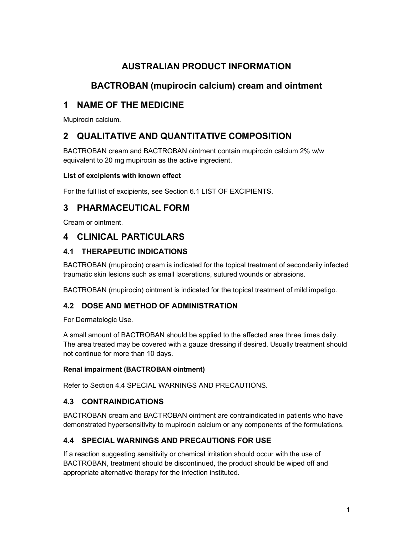# AUSTRALIAN PRODUCT INFORMATION

# BACTROBAN (mupirocin calcium) cream and ointment

# 1 NAME OF THE MEDICINE

Mupirocin calcium.

# 2 QUALITATIVE AND QUANTITATIVE COMPOSITION

BACTROBAN cream and BACTROBAN ointment contain mupirocin calcium 2% w/w equivalent to 20 mg mupirocin as the active ingredient.

### List of excipients with known effect

For the full list of excipients, see Section 6.1 LIST OF EXCIPIENTS.

## 3 PHARMACEUTICAL FORM

Cream or ointment.

## 4 CLINICAL PARTICULARS

## 4.1 THERAPEUTIC INDICATIONS

BACTROBAN (mupirocin) cream is indicated for the topical treatment of secondarily infected traumatic skin lesions such as small lacerations, sutured wounds or abrasions.

BACTROBAN (mupirocin) ointment is indicated for the topical treatment of mild impetigo.

## 4.2 DOSE AND METHOD OF ADMINISTRATION

For Dermatologic Use.

A small amount of BACTROBAN should be applied to the affected area three times daily. The area treated may be covered with a gauze dressing if desired. Usually treatment should not continue for more than 10 days.

### Renal impairment (BACTROBAN ointment)

Refer to Section 4.4 SPECIAL WARNINGS AND PRECAUTIONS.

## 4.3 CONTRAINDICATIONS

BACTROBAN cream and BACTROBAN ointment are contraindicated in patients who have demonstrated hypersensitivity to mupirocin calcium or any components of the formulations.

## 4.4 SPECIAL WARNINGS AND PRECAUTIONS FOR USE

If a reaction suggesting sensitivity or chemical irritation should occur with the use of BACTROBAN, treatment should be discontinued, the product should be wiped off and appropriate alternative therapy for the infection instituted.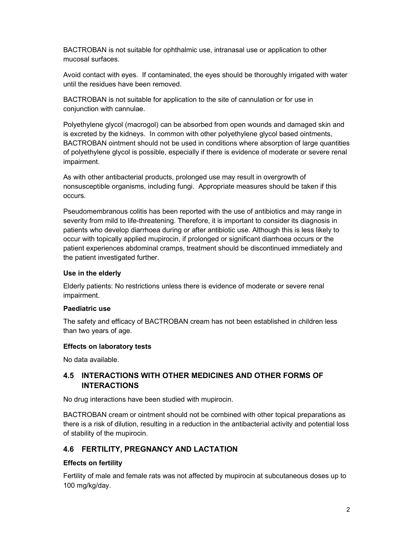BACTROBAN is not suitable for ophthalmic use, intranasal use or application to other mucosal surfaces.

Avoid contact with eyes. If contaminated, the eyes should be thoroughly irrigated with water until the residues have been removed.

BACTROBAN is not suitable for application to the site of cannulation or for use in conjunction with cannulae.

Polyethylene glycol (macrogol) can be absorbed from open wounds and damaged skin and is excreted by the kidneys. In common with other polyethylene glycol based ointments, BACTROBAN ointment should not be used in conditions where absorption of large quantities of polyethylene glycol is possible, especially if there is evidence of moderate or severe renal impairment.

As with other antibacterial products, prolonged use may result in overgrowth of nonsusceptible organisms, including fungi. Appropriate measures should be taken if this occurs.

Pseudomembranous colitis has been reported with the use of antibiotics and may range in severity from mild to life-threatening. Therefore, it is important to consider its diagnosis in patients who develop diarrhoea during or after antibiotic use. Although this is less likely to occur with topically applied mupirocin, if prolonged or significant diarrhoea occurs or the patient experiences abdominal cramps, treatment should be discontinued immediately and the patient investigated further.

#### Use in the elderly

Elderly patients: No restrictions unless there is evidence of moderate or severe renal impairment.

#### Paediatric use

The safety and efficacy of BACTROBAN cream has not been established in children less than two years of age.

#### Effects on laboratory tests

No data available.

### 4.5 INTERACTIONS WITH OTHER MEDICINES AND OTHER FORMS OF INTERACTIONS

No drug interactions have been studied with mupirocin.

BACTROBAN cream or ointment should not be combined with other topical preparations as there is a risk of dilution, resulting in a reduction in the antibacterial activity and potential loss of stability of the mupirocin.

### 4.6 FERTILITY, PREGNANCY AND LACTATION

### Effects on fertility

Fertility of male and female rats was not affected by mupirocin at subcutaneous doses up to 100 mg/kg/day.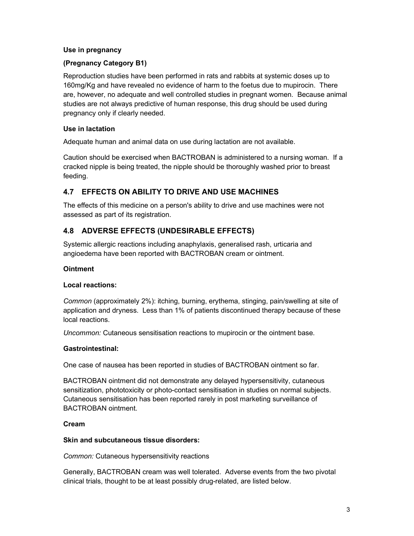#### Use in pregnancy

### (Pregnancy Category B1)

Reproduction studies have been performed in rats and rabbits at systemic doses up to 160mg/Kg and have revealed no evidence of harm to the foetus due to mupirocin. There are, however, no adequate and well controlled studies in pregnant women. Because animal studies are not always predictive of human response, this drug should be used during pregnancy only if clearly needed.

#### Use in lactation

Adequate human and animal data on use during lactation are not available.

Caution should be exercised when BACTROBAN is administered to a nursing woman. If a cracked nipple is being treated, the nipple should be thoroughly washed prior to breast feeding.

### 4.7 EFFECTS ON ABILITY TO DRIVE AND USE MACHINES

The effects of this medicine on a person's ability to drive and use machines were not assessed as part of its registration.

### 4.8 ADVERSE EFFECTS (UNDESIRABLE EFFECTS)

Systemic allergic reactions including anaphylaxis, generalised rash, urticaria and angioedema have been reported with BACTROBAN cream or ointment.

#### Ointment

#### Local reactions:

Common (approximately 2%): itching, burning, erythema, stinging, pain/swelling at site of application and dryness. Less than 1% of patients discontinued therapy because of these local reactions.

Uncommon: Cutaneous sensitisation reactions to mupirocin or the ointment base.

#### Gastrointestinal:

One case of nausea has been reported in studies of BACTROBAN ointment so far.

BACTROBAN ointment did not demonstrate any delayed hypersensitivity, cutaneous sensitization, phototoxicity or photo-contact sensitisation in studies on normal subjects. Cutaneous sensitisation has been reported rarely in post marketing surveillance of BACTROBAN ointment.

#### Cream

#### Skin and subcutaneous tissue disorders:

Common: Cutaneous hypersensitivity reactions

Generally, BACTROBAN cream was well tolerated. Adverse events from the two pivotal clinical trials, thought to be at least possibly drug-related, are listed below.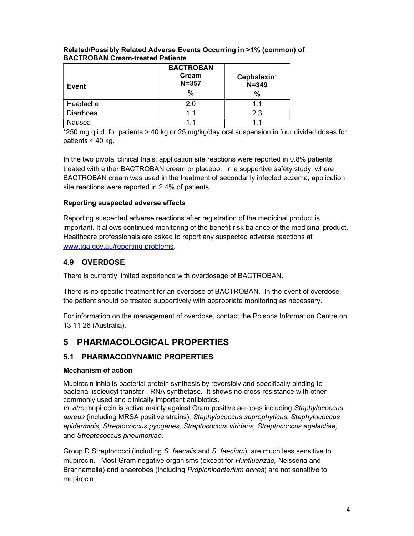| Event     | <b>BACTROBAN</b><br>Cream<br>$N = 357$<br>% | Cephalexin*<br>$N = 349$<br>% |
|-----------|---------------------------------------------|-------------------------------|
| Headache  | 2.0                                         | 11                            |
| Diarrhoea | 1.1                                         | 2.3                           |
| Nausea    | 11                                          | $1\;1$                        |

### Related/Possibly Related Adverse Events Occurring in >1% (common) of BACTROBAN Cream-treated Patients

\*250 mg q.i.d. for patients > 40 kg or 25 mg/kg/day oral suspension in four divided doses for patients  $\leq 40$  kg.

In the two pivotal clinical trials, application site reactions were reported in 0.8% patients treated with either BACTROBAN cream or placebo. In a supportive safety study, where BACTROBAN cream was used in the treatment of secondarily infected eczema, application site reactions were reported in 2.4% of patients.

### Reporting suspected adverse effects

Reporting suspected adverse reactions after registration of the medicinal product is important. It allows continued monitoring of the benefit-risk balance of the medicinal product. Healthcare professionals are asked to report any suspected adverse reactions at www.tga.gov.au/reporting-problems.

### 4.9 OVERDOSE

There is currently limited experience with overdosage of BACTROBAN.

There is no specific treatment for an overdose of BACTROBAN. In the event of overdose, the patient should be treated supportively with appropriate monitoring as necessary.

For information on the management of overdose, contact the Poisons Information Centre on 13 11 26 (Australia).

# 5 PHARMACOLOGICAL PROPERTIES

## 5.1 PHARMACODYNAMIC PROPERTIES

### Mechanism of action

Mupirocin inhibits bacterial protein synthesis by reversibly and specifically binding to bacterial isoleucyl transfer - RNA synthetase. It shows no cross resistance with other commonly used and clinically important antibiotics.

In vitro mupirocin is active mainly against Gram positive aerobes including Staphylococcus aureus (including MRSA positive strains), Staphylococcus saprophyticus, Staphylococcus epidermidis, Streptococcus pyogenes, Streptococcus viridans, Streptococcus agalactiae, and Streptococcus pneumoniae.

Group D Streptococci (including S. faecalis and S. faecium), are much less sensitive to mupirocin. Most Gram negative organisms (except for *H.influenzae*, Neisseria and Branhamella) and anaerobes (including *Propionibacterium acnes*) are not sensitive to mupirocin.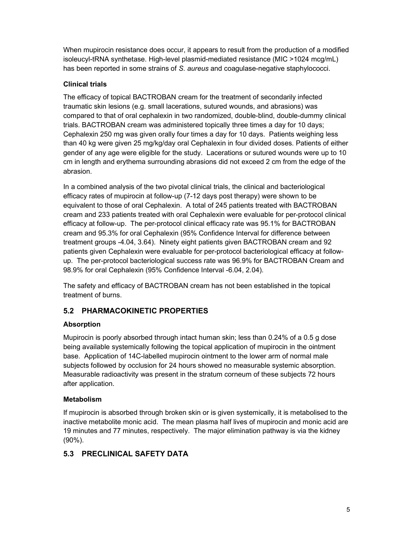When mupirocin resistance does occur, it appears to result from the production of a modified isoleucyl-tRNA synthetase. High-level plasmid-mediated resistance (MIC >1024 mcg/mL) has been reported in some strains of S. aureus and coagulase-negative staphylococci.

### Clinical trials

The efficacy of topical BACTROBAN cream for the treatment of secondarily infected traumatic skin lesions (e.g. small lacerations, sutured wounds, and abrasions) was compared to that of oral cephalexin in two randomized, double-blind, double-dummy clinical trials. BACTROBAN cream was administered topically three times a day for 10 days; Cephalexin 250 mg was given orally four times a day for 10 days. Patients weighing less than 40 kg were given 25 mg/kg/day oral Cephalexin in four divided doses. Patients of either gender of any age were eligible for the study. Lacerations or sutured wounds were up to 10 cm in length and erythema surrounding abrasions did not exceed 2 cm from the edge of the abrasion.

In a combined analysis of the two pivotal clinical trials, the clinical and bacteriological efficacy rates of mupirocin at follow-up (7-12 days post therapy) were shown to be equivalent to those of oral Cephalexin. A total of 245 patients treated with BACTROBAN cream and 233 patients treated with oral Cephalexin were evaluable for per-protocol clinical efficacy at follow-up. The per-protocol clinical efficacy rate was 95.1% for BACTROBAN cream and 95.3% for oral Cephalexin (95% Confidence Interval for difference between treatment groups -4.04, 3.64). Ninety eight patients given BACTROBAN cream and 92 patients given Cephalexin were evaluable for per-protocol bacteriological efficacy at followup. The per-protocol bacteriological success rate was 96.9% for BACTROBAN Cream and 98.9% for oral Cephalexin (95% Confidence Interval -6.04, 2.04).

The safety and efficacy of BACTROBAN cream has not been established in the topical treatment of burns.

### 5.2 PHARMACOKINETIC PROPERTIES

### Absorption

Mupirocin is poorly absorbed through intact human skin; less than 0.24% of a 0.5 g dose being available systemically following the topical application of mupirocin in the ointment base. Application of 14C-labelled mupirocin ointment to the lower arm of normal male subjects followed by occlusion for 24 hours showed no measurable systemic absorption. Measurable radioactivity was present in the stratum corneum of these subjects 72 hours after application.

### Metabolism

If mupirocin is absorbed through broken skin or is given systemically, it is metabolised to the inactive metabolite monic acid. The mean plasma half lives of mupirocin and monic acid are 19 minutes and 77 minutes, respectively. The major elimination pathway is via the kidney (90%).

### 5.3 PRECLINICAL SAFETY DATA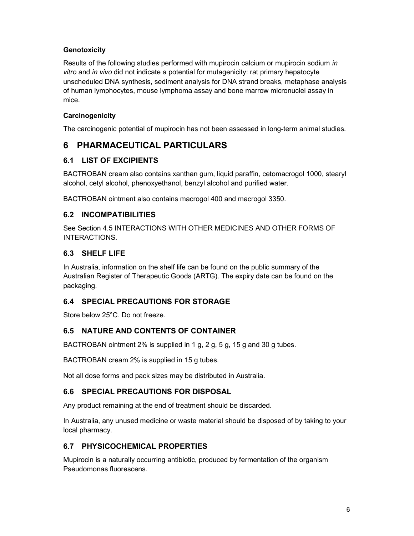### **Genotoxicity**

Results of the following studies performed with mupirocin calcium or mupirocin sodium in vitro and in vivo did not indicate a potential for mutagenicity: rat primary hepatocyte unscheduled DNA synthesis, sediment analysis for DNA strand breaks, metaphase analysis of human lymphocytes, mouse lymphoma assay and bone marrow micronuclei assay in mice.

### **Carcinogenicity**

The carcinogenic potential of mupirocin has not been assessed in long-term animal studies.

## 6 PHARMACEUTICAL PARTICULARS

### 6.1 LIST OF EXCIPIENTS

BACTROBAN cream also contains xanthan gum, liquid paraffin, cetomacrogol 1000, stearyl alcohol, cetyl alcohol, phenoxyethanol, benzyl alcohol and purified water.

BACTROBAN ointment also contains macrogol 400 and macrogol 3350.

### 6.2 INCOMPATIBILITIES

See Section 4.5 INTERACTIONS WITH OTHER MEDICINES AND OTHER FORMS OF INTERACTIONS.

### 6.3 SHELF LIFE

In Australia, information on the shelf life can be found on the public summary of the Australian Register of Therapeutic Goods (ARTG). The expiry date can be found on the packaging.

### 6.4 SPECIAL PRECAUTIONS FOR STORAGE

Store below 25°C. Do not freeze.

### 6.5 NATURE AND CONTENTS OF CONTAINER

BACTROBAN ointment 2% is supplied in 1 g, 2 g, 5 g, 15 g and 30 g tubes.

BACTROBAN cream 2% is supplied in 15 g tubes.

Not all dose forms and pack sizes may be distributed in Australia.

### 6.6 SPECIAL PRECAUTIONS FOR DISPOSAL

Any product remaining at the end of treatment should be discarded.

In Australia, any unused medicine or waste material should be disposed of by taking to your local pharmacy.

### 6.7 PHYSICOCHEMICAL PROPERTIES

Mupirocin is a naturally occurring antibiotic, produced by fermentation of the organism Pseudomonas fluorescens.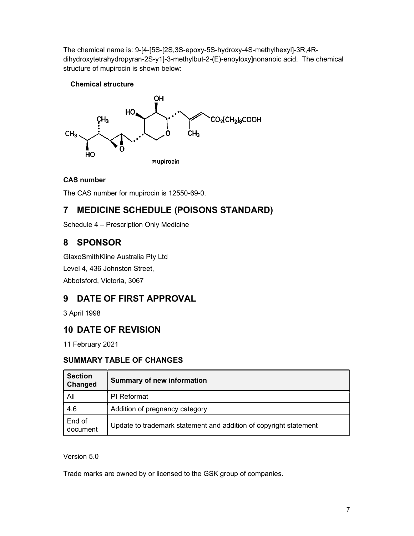The chemical name is: 9-[4-[5S-[2S,3S-epoxy-5S-hydroxy-4S-methylhexyl]-3R,4Rdihydroxytetrahydropyran-2S-y1]-3-methylbut-2-(E)-enoyloxy]nonanoic acid. The chemical structure of mupirocin is shown below:

### Chemical structure



### CAS number

The CAS number for mupirocin is 12550-69-0.

# 7 MEDICINE SCHEDULE (POISONS STANDARD)

Schedule 4 – Prescription Only Medicine

# 8 SPONSOR

GlaxoSmithKline Australia Pty Ltd Level 4, 436 Johnston Street, Abbotsford, Victoria, 3067

# 9 DATE OF FIRST APPROVAL

3 April 1998

## 10 DATE OF REVISION

11 February 2021

## SUMMARY TABLE OF CHANGES

| <b>Section</b><br>Changed | <b>Summary of new information</b>                                 |  |
|---------------------------|-------------------------------------------------------------------|--|
| All                       | <b>PI</b> Reformat                                                |  |
| 4.6                       | Addition of pregnancy category                                    |  |
| End of<br>document        | Update to trademark statement and addition of copyright statement |  |

### Version 5.0

Trade marks are owned by or licensed to the GSK group of companies.